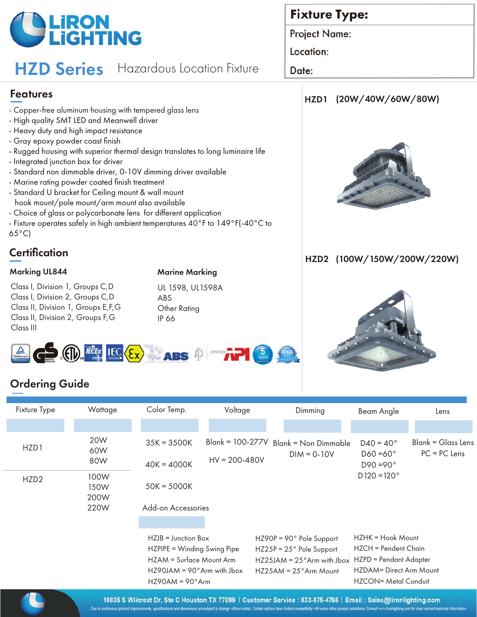

# **HZD Series** Hazardous Location Fixture

### Features

- Copper-free aluminum housing with tempered glass lens
- High quality SMT LED and Meanwell driver
- Heavy duty and high impact resistance
- Gray epoxy powder coast finish
- Rugged housing with superior thermal design translates to long luminaire life
- Integrated junction box for driver
- Standard non dimmable driver, 0-10V dimming driver available
- Marine rating powder coated finish treatment
- Standard U bracket for Ceiling mount & wall mount hook mount/pole mount/arm mount also available
- Choice of glass or polycarbonate lens for different application
- Fixture operates safely in high ambient temperatures 40°F to 149°F(-40°C to 65°C)

# **Certification**

Class I, Division 1, Groups C,D Class I, Division 2, Groups C,D Class II, Division 1, Groups E,F,G Class II, Division 2, Groups F,G Class III

#### Marking UL844 Marine Marking

UL 1598, UL1598A ABS Other Rating IP 66

# **Fixture Type:**

Project Name:

Location:

Date:

## HZD1 (20W/40W/60W/80W)



### HZD2 (100W/150W/200W/220W)





# Ordering Guide

| Fixture Type     | Wattage                      | Color Temp.                                                                                                                                        | Voltage                                 | Dimming                                                                                                                                | Beam Angle                                                                                                             | Lens                                 |
|------------------|------------------------------|----------------------------------------------------------------------------------------------------------------------------------------------------|-----------------------------------------|----------------------------------------------------------------------------------------------------------------------------------------|------------------------------------------------------------------------------------------------------------------------|--------------------------------------|
|                  |                              |                                                                                                                                                    |                                         |                                                                                                                                        |                                                                                                                        |                                      |
| HZD1             | 20W<br>60W<br>80W            | $35K = 3500K$<br>$40K = 4000K$                                                                                                                     | $Blank = 100-277V$<br>$HV = 200 - 480V$ | $Blank = Non Dimmable$<br>$DIM = 0-10V$                                                                                                | $D40 = 40^{\circ}$<br>$D60 = 60^{\circ}$<br>$D90 = 90^{\circ}$                                                         | Blank = Glass Lens<br>$PC = PC$ Lens |
| HZD <sub>2</sub> | 100W<br>150W<br>200W<br>220W | $50K = 5000K$                                                                                                                                      |                                         |                                                                                                                                        | $D120 = 120^{\circ}$                                                                                                   |                                      |
|                  |                              | Add-on Accessories                                                                                                                                 |                                         |                                                                                                                                        |                                                                                                                        |                                      |
|                  |                              | $HZJB =$ Junction Box<br>HZPIPE = Winding Swing Pipe<br>HZAM = Surface Mount Arm<br>$HZ90JAM = 90^\circ Arm$ with Jbox<br>$HZ90AM = 90^{\circ}Arm$ |                                         | $HZ90P = 90°$ Pole Support<br>$HZ25P = 25°$ Pole Support<br>$HZ25JAM = 25^\circ Arm$ with Jbox<br>$HZ25AM = 25^\circ \text{Arm Mount}$ | HZHK = Hook Mount<br>HZCH = Pendent Chain<br>HZPD = Pendant Adapter<br>HZDAM= Direct Arm Mount<br>HZCON= Metal Conduit |                                      |
|                  |                              |                                                                                                                                                    |                                         |                                                                                                                                        |                                                                                                                        |                                      |

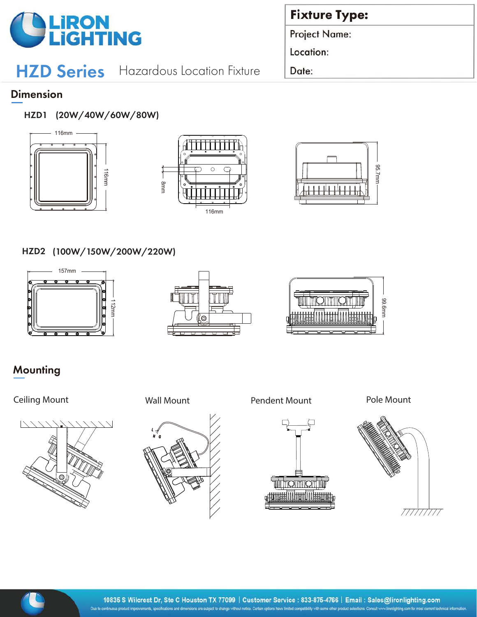

# HZD Series Hazardous Location Fixture

# **Fixture Type:**

Project Name:

Location:

Date:

### **Dimension**

HZD1 (20W/40W/60W/80W)







#### HZD2 (100W/150W/200W/220W)







# **Mounting**

### Ceiling Mount **Wall Mount** Pendent Mount Pole Mount